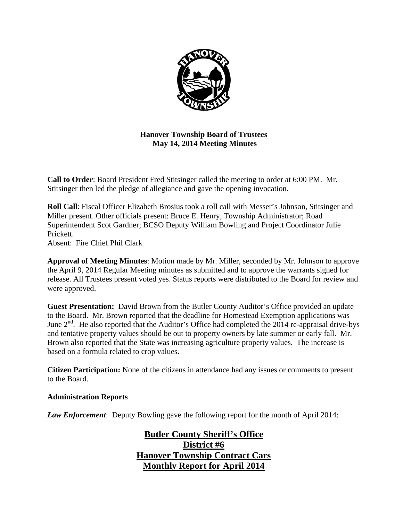

**Hanover Township Board of Trustees May 14, 2014 Meeting Minutes** 

**Call to Order**: Board President Fred Stitsinger called the meeting to order at 6:00 PM. Mr. Stitsinger then led the pledge of allegiance and gave the opening invocation.

**Roll Call**: Fiscal Officer Elizabeth Brosius took a roll call with Messer's Johnson, Stitsinger and Miller present. Other officials present: Bruce E. Henry, Township Administrator; Road Superintendent Scot Gardner; BCSO Deputy William Bowling and Project Coordinator Julie Prickett.

Absent: Fire Chief Phil Clark

**Approval of Meeting Minutes**: Motion made by Mr. Miller, seconded by Mr. Johnson to approve the April 9, 2014 Regular Meeting minutes as submitted and to approve the warrants signed for release. All Trustees present voted yes. Status reports were distributed to the Board for review and were approved.

**Guest Presentation:** David Brown from the Butler County Auditor's Office provided an update to the Board. Mr. Brown reported that the deadline for Homestead Exemption applications was June 2<sup>nd</sup>. He also reported that the Auditor's Office had completed the 2014 re-appraisal drive-bys and tentative property values should be out to property owners by late summer or early fall. Mr. Brown also reported that the State was increasing agriculture property values. The increase is based on a formula related to crop values.

**Citizen Participation:** None of the citizens in attendance had any issues or comments to present to the Board.

### **Administration Reports**

*Law Enforcement*: Deputy Bowling gave the following report for the month of April 2014:

**Butler County Sheriff's Office District #6 Hanover Township Contract Cars Monthly Report for April 2014**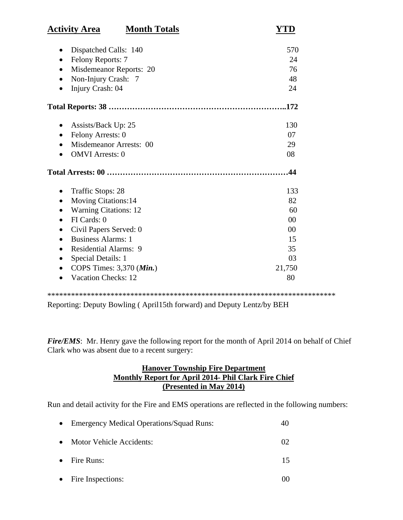| <b>Activity Area</b>                    | <b>Month Totals</b> | YTD    |
|-----------------------------------------|---------------------|--------|
| Dispatched Calls: 140                   |                     | 570    |
| Felony Reports: 7                       |                     | 24     |
| Misdemeanor Reports: 20<br>$\bullet$    |                     | 76     |
| Non-Injury Crash: 7                     |                     | 48     |
| Injury Crash: 04                        |                     | 24     |
|                                         |                     |        |
| Assists/Back Up: 25                     |                     | 130    |
| Felony Arrests: 0<br>$\bullet$          |                     | 07     |
| Misdemeanor Arrests: 00                 |                     | 29     |
| <b>OMVI</b> Arrests: 0                  |                     | 08     |
|                                         |                     | .44    |
| <b>Traffic Stops: 28</b>                |                     | 133    |
| <b>Moving Citations:14</b><br>$\bullet$ |                     | 82     |
| <b>Warning Citations: 12</b>            |                     | 60     |
| FI Cards: 0                             |                     | 00     |
| Civil Papers Served: 0<br>$\bullet$     |                     | 00     |
| <b>Business Alarms: 1</b>               |                     | 15     |
| Residential Alarms: 9                   |                     | 35     |
| Special Details: 1<br>$\bullet$         |                     | 03     |
|                                         |                     | 21,750 |
| COPS Times: 3,370 (Min.)                |                     |        |

Reporting: Deputy Bowling ( April15th forward) and Deputy Lentz/by BEH

*Fire/EMS*: Mr. Henry gave the following report for the month of April 2014 on behalf of Chief Clark who was absent due to a recent surgery:

# **Hanover Township Fire Department Monthly Report for April 2014- Phil Clark Fire Chief (Presented in May 2014)**

Run and detail activity for the Fire and EMS operations are reflected in the following numbers:

| • Emergency Medical Operations/Squad Runs: | 40 |
|--------------------------------------------|----|
| • Motor Vehicle Accidents:                 |    |
| $\bullet$ Fire Runs:                       |    |

• Fire Inspections: 00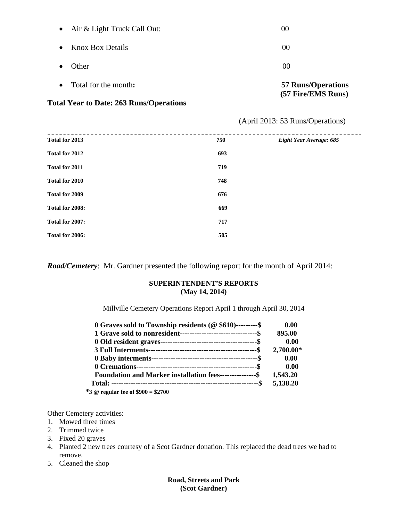| <b>Total Year to Date: 263 Runs/Operations</b> |                                                 |
|------------------------------------------------|-------------------------------------------------|
| • Total for the month:                         | <b>57 Runs/Operations</b><br>(57 Fire/EMS Runs) |
| <b>Other</b><br>$\bullet$                      | 00                                              |
| <b>Knox Box Details</b><br>$\bullet$           | 00                                              |
| • Air & Light Truck Call Out:                  | 00                                              |

# (April 2013: 53 Runs/Operations)

| Total for 2013  | 750 | Eight Year Average: 685 |
|-----------------|-----|-------------------------|
| Total for 2012  | 693 |                         |
| Total for 2011  | 719 |                         |
| Total for 2010  | 748 |                         |
| Total for 2009  | 676 |                         |
| Total for 2008: | 669 |                         |
| Total for 2007: | 717 |                         |
| Total for 2006: | 505 |                         |

*Road/Cemetery*: Mr. Gardner presented the following report for the month of April 2014:

#### **SUPERINTENDENT'S REPORTS (May 14, 2014)**

Millville Cemetery Operations Report April 1 through April 30, 2014

| 0 Graves sold to Township residents ( $@$ \$610)---------\$      | 0.00      |
|------------------------------------------------------------------|-----------|
|                                                                  | 895.00    |
|                                                                  | 0.00      |
|                                                                  | 2,700.00* |
|                                                                  | 0.00      |
|                                                                  | 0.00      |
| <b>Foundation and Marker installation fees----------------\$</b> | 1,543.20  |
|                                                                  | 5,138.20  |
| $*3$ @ regular fee of $$900 = $2700$                             |           |

Other Cemetery activities:

- 1. Mowed three times
- 2. Trimmed twice
- 3. Fixed 20 graves
- 4. Planted 2 new trees courtesy of a Scot Gardner donation. This replaced the dead trees we had to remove.
- 5. Cleaned the shop

**Road, Streets and Park (Scot Gardner)**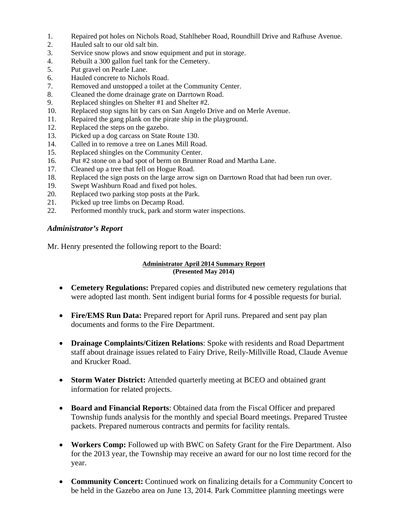- 1. Repaired pot holes on Nichols Road, Stahlheber Road, Roundhill Drive and Rafhuse Avenue.
- 2. Hauled salt to our old salt bin.
- 3. Service snow plows and snow equipment and put in storage.
- 4. Rebuilt a 300 gallon fuel tank for the Cemetery.
- 5. Put gravel on Pearle Lane.
- 6. Hauled concrete to Nichols Road.
- 7. Removed and unstopped a toilet at the Community Center.
- 8. Cleaned the dome drainage grate on Darrtown Road.
- 9. Replaced shingles on Shelter #1 and Shelter #2.
- 10. Replaced stop signs hit by cars on San Angelo Drive and on Merle Avenue.
- 11. Repaired the gang plank on the pirate ship in the playground.
- 12. Replaced the steps on the gazebo.
- 13. Picked up a dog carcass on State Route 130.
- 14. Called in to remove a tree on Lanes Mill Road.
- 15. Replaced shingles on the Community Center.
- 16. Put #2 stone on a bad spot of berm on Brunner Road and Martha Lane.
- 17. Cleaned up a tree that fell on Hogue Road.
- 18. Replaced the sign posts on the large arrow sign on Darrtown Road that had been run over.
- 19. Swept Washburn Road and fixed pot holes.
- 20. Replaced two parking stop posts at the Park.
- 21. Picked up tree limbs on Decamp Road.
- 22. Performed monthly truck, park and storm water inspections.

### *Administrator's Report*

Mr. Henry presented the following report to the Board:

#### **Administrator April 2014 Summary Report (Presented May 2014)**

- Cemetery Regulations: Prepared copies and distributed new cemetery regulations that were adopted last month. Sent indigent burial forms for 4 possible requests for burial.
- **Fire/EMS Run Data:** Prepared report for April runs. Prepared and sent pay plan documents and forms to the Fire Department.
- **Drainage Complaints/Citizen Relations**: Spoke with residents and Road Department staff about drainage issues related to Fairy Drive, Reily-Millville Road, Claude Avenue and Krucker Road.
- **Storm Water District:** Attended quarterly meeting at BCEO and obtained grant information for related projects.
- **Board and Financial Reports**: Obtained data from the Fiscal Officer and prepared Township funds analysis for the monthly and special Board meetings. Prepared Trustee packets. Prepared numerous contracts and permits for facility rentals.
- **Workers Comp:** Followed up with BWC on Safety Grant for the Fire Department. Also for the 2013 year, the Township may receive an award for our no lost time record for the year.
- **Community Concert:** Continued work on finalizing details for a Community Concert to be held in the Gazebo area on June 13, 2014. Park Committee planning meetings were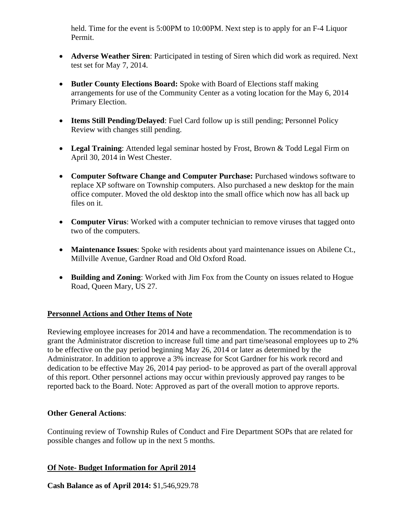held. Time for the event is 5:00PM to 10:00PM. Next step is to apply for an F-4 Liquor Permit.

- **Adverse Weather Siren**: Participated in testing of Siren which did work as required. Next test set for May 7, 2014.
- **Butler County Elections Board:** Spoke with Board of Elections staff making arrangements for use of the Community Center as a voting location for the May 6, 2014 Primary Election.
- **Items Still Pending/Delayed:** Fuel Card follow up is still pending; Personnel Policy Review with changes still pending.
- Legal Training: Attended legal seminar hosted by Frost, Brown & Todd Legal Firm on April 30, 2014 in West Chester.
- **Computer Software Change and Computer Purchase:** Purchased windows software to replace XP software on Township computers. Also purchased a new desktop for the main office computer. Moved the old desktop into the small office which now has all back up files on it.
- **Computer Virus**: Worked with a computer technician to remove viruses that tagged onto two of the computers.
- **Maintenance Issues**: Spoke with residents about yard maintenance issues on Abilene Ct., Millville Avenue, Gardner Road and Old Oxford Road.
- **Building and Zoning**: Worked with Jim Fox from the County on issues related to Hogue Road, Queen Mary, US 27.

# **Personnel Actions and Other Items of Note**

Reviewing employee increases for 2014 and have a recommendation. The recommendation is to grant the Administrator discretion to increase full time and part time/seasonal employees up to 2% to be effective on the pay period beginning May 26, 2014 or later as determined by the Administrator. In addition to approve a 3% increase for Scot Gardner for his work record and dedication to be effective May 26, 2014 pay period- to be approved as part of the overall approval of this report. Other personnel actions may occur within previously approved pay ranges to be reported back to the Board. Note: Approved as part of the overall motion to approve reports.

# **Other General Actions**:

Continuing review of Township Rules of Conduct and Fire Department SOPs that are related for possible changes and follow up in the next 5 months.

# **Of Note- Budget Information for April 2014**

**Cash Balance as of April 2014:** \$1,546,929.78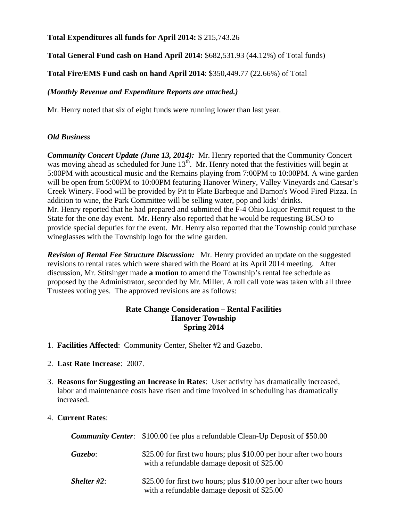# **Total Expenditures all funds for April 2014:** \$ 215,743.26

# **Total General Fund cash on Hand April 2014:** \$682,531.93 (44.12%) of Total funds)

**Total Fire/EMS Fund cash on hand April 2014**: \$350,449.77 (22.66%) of Total

# *(Monthly Revenue and Expenditure Reports are attached.)*

Mr. Henry noted that six of eight funds were running lower than last year.

# *Old Business*

*Community Concert Update (June 13, 2014):* Mr. Henry reported that the Community Concert was moving ahead as scheduled for June 13<sup>th</sup>. Mr. Henry noted that the festivities will begin at 5:00PM with acoustical music and the Remains playing from 7:00PM to 10:00PM. A wine garden will be open from 5:00PM to 10:00PM featuring Hanover Winery, Valley Vineyards and Caesar's Creek Winery. Food will be provided by Pit to Plate Barbeque and Damon's Wood Fired Pizza. In addition to wine, the Park Committee will be selling water, pop and kids' drinks. Mr. Henry reported that he had prepared and submitted the F-4 Ohio Liquor Permit request to the State for the one day event. Mr. Henry also reported that he would be requesting BCSO to provide special deputies for the event. Mr. Henry also reported that the Township could purchase wineglasses with the Township logo for the wine garden.

*Revision of Rental Fee Structure Discussion:* Mr. Henry provided an update on the suggested revisions to rental rates which were shared with the Board at its April 2014 meeting. After discussion, Mr. Stitsinger made **a motion** to amend the Township's rental fee schedule as proposed by the Administrator, seconded by Mr. Miller. A roll call vote was taken with all three Trustees voting yes. The approved revisions are as follows:

## **Rate Change Consideration – Rental Facilities Hanover Township Spring 2014**

- 1. **Facilities Affected**: Community Center, Shelter #2 and Gazebo.
- 2. **Last Rate Increase**: 2007.
- 3. **Reasons for Suggesting an Increase in Rates**: User activity has dramatically increased, labor and maintenance costs have risen and time involved in scheduling has dramatically increased.

# 4. **Current Rates**:

|                       | <b>Community Center:</b> \$100.00 fee plus a refundable Clean-Up Deposit of \$50.00                               |
|-----------------------|-------------------------------------------------------------------------------------------------------------------|
| Gazebo:               | \$25.00 for first two hours; plus \$10.00 per hour after two hours<br>with a refundable damage deposit of \$25.00 |
| <i>Shelter</i> $#2$ : | \$25.00 for first two hours; plus \$10.00 per hour after two hours<br>with a refundable damage deposit of \$25.00 |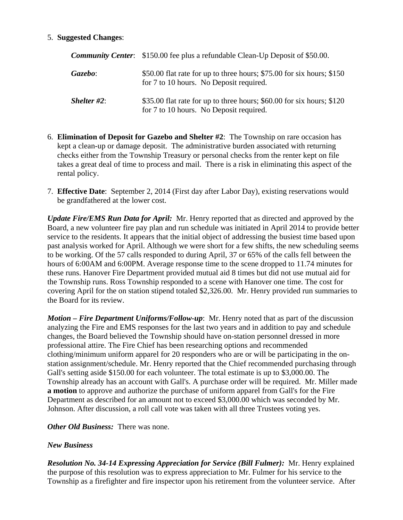## 5. **Suggested Changes**:

|                       | <b>Community Center:</b> \$150.00 fee plus a refundable Clean-Up Deposit of \$50.00.                             |  |
|-----------------------|------------------------------------------------------------------------------------------------------------------|--|
| Gazebo:               | \$50.00 flat rate for up to three hours; \$75.00 for six hours; \$150<br>for 7 to 10 hours. No Deposit required. |  |
| <i>Shelter</i> $#2$ : | \$35.00 flat rate for up to three hours; \$60.00 for six hours; \$120<br>for 7 to 10 hours. No Deposit required. |  |

- 6. **Elimination of Deposit for Gazebo and Shelter #2**: The Township on rare occasion has kept a clean-up or damage deposit. The administrative burden associated with returning checks either from the Township Treasury or personal checks from the renter kept on file takes a great deal of time to process and mail. There is a risk in eliminating this aspect of the rental policy.
- 7. **Effective Date**: September 2, 2014 (First day after Labor Day), existing reservations would be grandfathered at the lower cost.

*Update Fire/EMS Run Data for April:* Mr. Henry reported that as directed and approved by the Board, a new volunteer fire pay plan and run schedule was initiated in April 2014 to provide better service to the residents. It appears that the initial object of addressing the busiest time based upon past analysis worked for April. Although we were short for a few shifts, the new scheduling seems to be working. Of the 57 calls responded to during April, 37 or 65% of the calls fell between the hours of 6:00AM and 6:00PM. Average response time to the scene dropped to 11.74 minutes for these runs. Hanover Fire Department provided mutual aid 8 times but did not use mutual aid for the Township runs. Ross Township responded to a scene with Hanover one time. The cost for covering April for the on station stipend totaled \$2,326.00. Mr. Henry provided run summaries to the Board for its review.

*Motion – Fire Department Uniforms/Follow-up*: Mr. Henry noted that as part of the discussion analyzing the Fire and EMS responses for the last two years and in addition to pay and schedule changes, the Board believed the Township should have on-station personnel dressed in more professional attire. The Fire Chief has been researching options and recommended clothing/minimum uniform apparel for 20 responders who are or will be participating in the onstation assignment/schedule. Mr. Henry reported that the Chief recommended purchasing through Gall's setting aside \$150.00 for each volunteer. The total estimate is up to \$3,000.00. The Township already has an account with Gall's. A purchase order will be required. Mr. Miller made **a motion** to approve and authorize the purchase of uniform apparel from Gall's for the Fire Department as described for an amount not to exceed \$3,000.00 which was seconded by Mr. Johnson. After discussion, a roll call vote was taken with all three Trustees voting yes.

*Other Old Business:* There was none.

### *New Business*

*Resolution No. 34-14 Expressing Appreciation for Service (Bill Fulmer):* Mr. Henry explained the purpose of this resolution was to express appreciation to Mr. Fulmer for his service to the Township as a firefighter and fire inspector upon his retirement from the volunteer service. After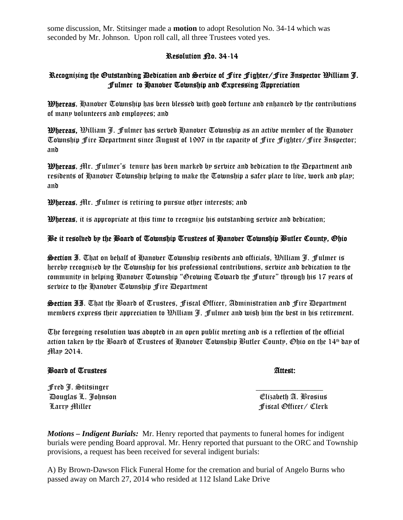some discussion, Mr. Stitsinger made a **motion** to adopt Resolution No. 34-14 which was seconded by Mr. Johnson. Upon roll call, all three Trustees voted yes.

## Resolution <sub>Ro.</sub> 34-14

# Recognizing the Outstanding Dedication and Service of Fire Fighter/Fire Inspector William J. Fulmer to Hanover Township and Expressing Appreciation

**Whereas,** Hanover Township has been blessed with good fortune and enhanced by the contributions of many volunteers and employees; and

Whereas, William J. Fulmer has served Hanover Township as an active member of the Hanover Township Fire Department since August of 1997 in the capacity of Fire Fighter/Fire Inspector; and

Whereas, Mr. Fulmer's tenure has been marked by service and dedication to the Department and residents of Hanober Township helping to make the Township a safer place to live, work and play; and

Whereas, Mr. Fulmer is retiring to pursue other interests; and

**Whereas**, it is appropriate at this time to recognize his outstanding service and dedication;

# Be it resolved by the Board of Township Trustees of Hanover Township Butler County, Ohio

**Section I.** That on behalf of Hanover Township residents and officials,  $\mathcal{D}$ illiam J. Fulmer is hereby recognized by the Township for his professional contributions, service and dedication to the community in helping Hanover Township "Growing Toward the Future" through his 17 years of service to the Hanover Township Fire Department

Section II. That the Board of Trustees, Fiscal Officer, Administration and Fire Department members express their appreciation to William J. Fulmer and wish him the best in his retirement.

The foregoing resolution was adopted in an open public meeting and is a reflection of the official action taken by the Board of Trustees of Hanober Township Butler County, Ohio on the 14<sup>th</sup> day of May 2014.

### Board of Trustees **Attest:**

Fred J. Stitsinger \_\_\_\_\_\_\_\_\_\_\_\_\_\_\_\_\_ Douglas L. Johnson Elizabeth A. Brosius Larry Miller Fiscal Officer/ Clerk

*Motions – Indigent Burials:* Mr. Henry reported that payments to funeral homes for indigent burials were pending Board approval. Mr. Henry reported that pursuant to the ORC and Township provisions, a request has been received for several indigent burials:

A) By Brown-Dawson Flick Funeral Home for the cremation and burial of Angelo Burns who passed away on March 27, 2014 who resided at 112 Island Lake Drive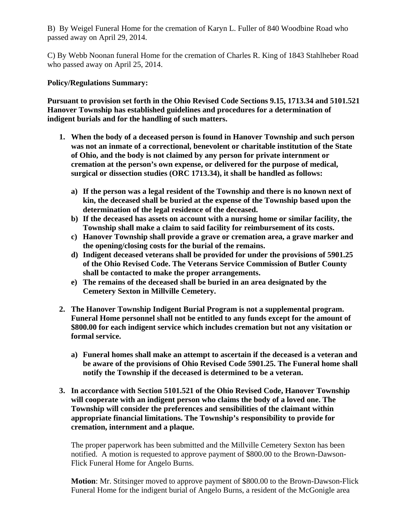B) By Weigel Funeral Home for the cremation of Karyn L. Fuller of 840 Woodbine Road who passed away on April 29, 2014.

C) By Webb Noonan funeral Home for the cremation of Charles R. King of 1843 Stahlheber Road who passed away on April 25, 2014.

## **Policy/Regulations Summary:**

**Pursuant to provision set forth in the Ohio Revised Code Sections 9.15, 1713.34 and 5101.521 Hanover Township has established guidelines and procedures for a determination of indigent burials and for the handling of such matters.** 

- **1. When the body of a deceased person is found in Hanover Township and such person was not an inmate of a correctional, benevolent or charitable institution of the State of Ohio, and the body is not claimed by any person for private internment or cremation at the person's own expense, or delivered for the purpose of medical, surgical or dissection studies (ORC 1713.34), it shall be handled as follows:** 
	- **a) If the person was a legal resident of the Township and there is no known next of kin, the deceased shall be buried at the expense of the Township based upon the determination of the legal residence of the deceased.**
	- **b) If the deceased has assets on account with a nursing home or similar facility, the Township shall make a claim to said facility for reimbursement of its costs.**
	- **c) Hanover Township shall provide a grave or cremation area, a grave marker and the opening/closing costs for the burial of the remains.**
	- **d) Indigent deceased veterans shall be provided for under the provisions of 5901.25 of the Ohio Revised Code. The Veterans Service Commission of Butler County shall be contacted to make the proper arrangements.**
	- **e) The remains of the deceased shall be buried in an area designated by the Cemetery Sexton in Millville Cemetery.**
- **2. The Hanover Township Indigent Burial Program is not a supplemental program. Funeral Home personnel shall not be entitled to any funds except for the amount of \$800.00 for each indigent service which includes cremation but not any visitation or formal service.** 
	- **a) Funeral homes shall make an attempt to ascertain if the deceased is a veteran and be aware of the provisions of Ohio Revised Code 5901.25. The Funeral home shall notify the Township if the deceased is determined to be a veteran.**
- **3. In accordance with Section 5101.521 of the Ohio Revised Code, Hanover Township will cooperate with an indigent person who claims the body of a loved one. The Township will consider the preferences and sensibilities of the claimant within appropriate financial limitations. The Township's responsibility to provide for cremation, internment and a plaque.**

The proper paperwork has been submitted and the Millville Cemetery Sexton has been notified. A motion is requested to approve payment of \$800.00 to the Brown-Dawson-Flick Funeral Home for Angelo Burns.

**Motion**: Mr. Stitsinger moved to approve payment of \$800.00 to the Brown-Dawson-Flick Funeral Home for the indigent burial of Angelo Burns, a resident of the McGonigle area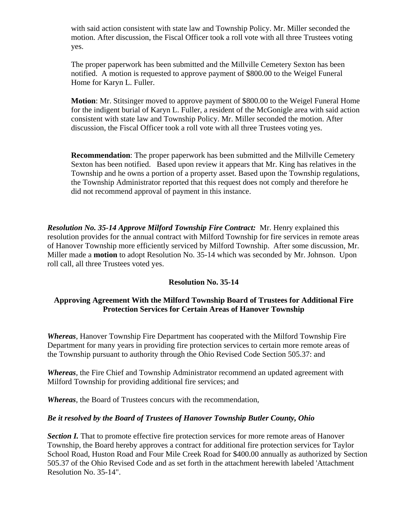with said action consistent with state law and Township Policy. Mr. Miller seconded the motion. After discussion, the Fiscal Officer took a roll vote with all three Trustees voting yes.

The proper paperwork has been submitted and the Millville Cemetery Sexton has been notified. A motion is requested to approve payment of \$800.00 to the Weigel Funeral Home for Karyn L. Fuller.

**Motion**: Mr. Stitsinger moved to approve payment of \$800.00 to the Weigel Funeral Home for the indigent burial of Karyn L. Fuller, a resident of the McGonigle area with said action consistent with state law and Township Policy. Mr. Miller seconded the motion. After discussion, the Fiscal Officer took a roll vote with all three Trustees voting yes.

**Recommendation**: The proper paperwork has been submitted and the Millville Cemetery Sexton has been notified. Based upon review it appears that Mr. King has relatives in the Township and he owns a portion of a property asset. Based upon the Township regulations, the Township Administrator reported that this request does not comply and therefore he did not recommend approval of payment in this instance.

*Resolution No. 35-14 Approve Milford Township Fire Contract:* Mr. Henry explained this resolution provides for the annual contract with Milford Township for fire services in remote areas of Hanover Township more efficiently serviced by Milford Township. After some discussion, Mr. Miller made a **motion** to adopt Resolution No. 35-14 which was seconded by Mr. Johnson. Upon roll call, all three Trustees voted yes.

# **Resolution No. 35-14**

## **Approving Agreement With the Milford Township Board of Trustees for Additional Fire Protection Services for Certain Areas of Hanover Township**

*Whereas*, Hanover Township Fire Department has cooperated with the Milford Township Fire Department for many years in providing fire protection services to certain more remote areas of the Township pursuant to authority through the Ohio Revised Code Section 505.37: and

*Whereas*, the Fire Chief and Township Administrator recommend an updated agreement with Milford Township for providing additional fire services; and

*Whereas*, the Board of Trustees concurs with the recommendation,

### *Be it resolved by the Board of Trustees of Hanover Township Butler County, Ohio*

**Section I.** That to promote effective fire protection services for more remote areas of Hanover Township, the Board hereby approves a contract for additional fire protection services for Taylor School Road, Huston Road and Four Mile Creek Road for \$400.00 annually as authorized by Section 505.37 of the Ohio Revised Code and as set forth in the attachment herewith labeled 'Attachment Resolution No. 35-14".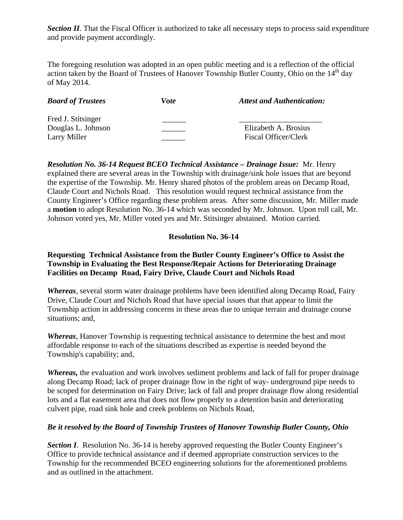*Section II*. That the Fiscal Officer is authorized to take all necessary steps to process said expenditure and provide payment accordingly.

The foregoing resolution was adopted in an open public meeting and is a reflection of the official action taken by the Board of Trustees of Hanover Township Butler County, Ohio on the  $14<sup>th</sup>$  day of May 2014.

| <b>Board of Trustees</b> | <i>Vote</i> | <b>Attest and Authentication:</b> |
|--------------------------|-------------|-----------------------------------|
| Fred J. Stitsinger       |             |                                   |
| Douglas L. Johnson       |             | Elizabeth A. Brosius              |
| Larry Miller             |             | Fiscal Officer/Clerk              |

*Resolution No. 36-14 Request BCEO Technical Assistance – Drainage Issue:* Mr. Henry explained there are several areas in the Township with drainage/sink hole issues that are beyond the expertise of the Township. Mr. Henry shared photos of the problem areas on Decamp Road, Claude Court and Nichols Road. This resolution would request technical assistance from the County Engineer's Office regarding these problem areas. After some discussion, Mr. Miller made a **motion** to adopt Resolution No. 36-14 which was seconded by Mr. Johnson. Upon roll call, Mr. Johnson voted yes, Mr. Miller voted yes and Mr. Stitsinger abstained. Motion carried.

## **Resolution No. 36-14**

# **Requesting Technical Assistance from the Butler County Engineer's Office to Assist the Township in Evaluating the Best Response/Repair Actions for Deteriorating Drainage Facilities on Decamp Road, Fairy Drive, Claude Court and Nichols Road**

*Whereas*, several storm water drainage problems have been identified along Decamp Road, Fairy Drive, Claude Court and Nichols Road that have special issues that that appear to limit the Township action in addressing concerns in these areas due to unique terrain and drainage course situations; and,

*Whereas*, Hanover Township is requesting technical assistance to determine the best and most affordable response to each of the situations described as expertise is needed beyond the Township's capability; and,

*Whereas,* the evaluation and work involves sediment problems and lack of fall for proper drainage along Decamp Road; lack of proper drainage flow in the right of way- underground pipe needs to be scoped for determination on Fairy Drive; lack of fall and proper drainage flow along residential lots and a flat easement area that does not flow properly to a detention basin and deteriorating culvert pipe, road sink hole and creek problems on Nichols Road,

### *Be it resolved by the Board of Township Trustees of Hanover Township Butler County, Ohio*

**Section I.** Resolution No. 36-14 is hereby approved requesting the Butler County Engineer's Office to provide technical assistance and if deemed appropriate construction services to the Township for the recommended BCEO engineering solutions for the aforementioned problems and as outlined in the attachment.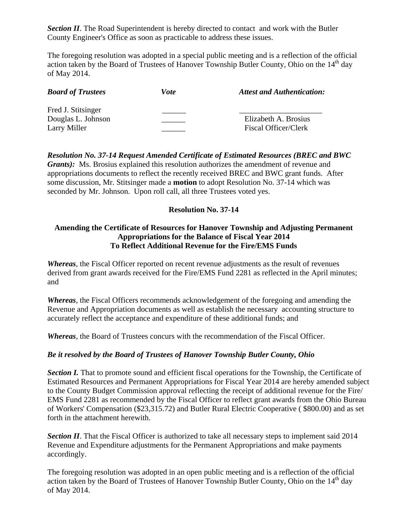**Section II**. The Road Superintendent is hereby directed to contact and work with the Butler County Engineer's Office as soon as practicable to address these issues.

The foregoing resolution was adopted in a special public meeting and is a reflection of the official action taken by the Board of Trustees of Hanover Township Butler County, Ohio on the 14<sup>th</sup> day of May 2014.

| <b>Board of Trustees</b> | Vote | <b>Attest and Authentication:</b> |
|--------------------------|------|-----------------------------------|
| Fred J. Stitsinger       |      |                                   |
| Douglas L. Johnson       |      | Elizabeth A. Brosius              |
| Larry Miller             |      | Fiscal Officer/Clerk              |

# *Resolution No. 37-14 Request Amended Certificate of Estimated Resources (BREC and BWC Grants*): Ms. Brosius explained this resolution authorizes the amendment of revenue and appropriations documents to reflect the recently received BREC and BWC grant funds. After some discussion, Mr. Stitsinger made a **motion** to adopt Resolution No. 37-14 which was seconded by Mr. Johnson. Upon roll call, all three Trustees voted yes.

# **Resolution No. 37-14**

# **Amending the Certificate of Resources for Hanover Township and Adjusting Permanent Appropriations for the Balance of Fiscal Year 2014 To Reflect Additional Revenue for the Fire/EMS Funds**

*Whereas*, the Fiscal Officer reported on recent revenue adjustments as the result of revenues derived from grant awards received for the Fire/EMS Fund 2281 as reflected in the April minutes; and

*Whereas*, the Fiscal Officers recommends acknowledgement of the foregoing and amending the Revenue and Appropriation documents as well as establish the necessary accounting structure to accurately reflect the acceptance and expenditure of these additional funds; and

*Whereas*, the Board of Trustees concurs with the recommendation of the Fiscal Officer.

# *Be it resolved by the Board of Trustees of Hanover Township Butler County, Ohio*

**Section I.** That to promote sound and efficient fiscal operations for the Township, the Certificate of Estimated Resources and Permanent Appropriations for Fiscal Year 2014 are hereby amended subject to the County Budget Commission approval reflecting the receipt of additional revenue for the Fire/ EMS Fund 2281 as recommended by the Fiscal Officer to reflect grant awards from the Ohio Bureau of Workers' Compensation (\$23,315.72) and Butler Rural Electric Cooperative ( \$800.00) and as set forth in the attachment herewith.

**Section II**. That the Fiscal Officer is authorized to take all necessary steps to implement said 2014 Revenue and Expenditure adjustments for the Permanent Appropriations and make payments accordingly.

The foregoing resolution was adopted in an open public meeting and is a reflection of the official action taken by the Board of Trustees of Hanover Township Butler County, Ohio on the 14<sup>th</sup> day of May 2014.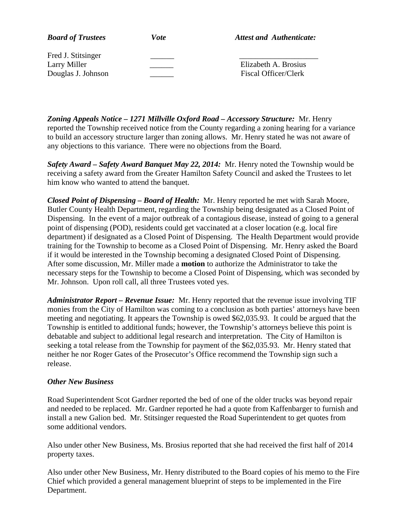| <b>Board of Trustees</b> | Vote | <b>Attest and Authenticate:</b> |
|--------------------------|------|---------------------------------|
| Fred J. Stitsinger       |      |                                 |
| Larry Miller             |      | Elizabeth A. Brosius            |
| Douglas J. Johnson       |      | Fiscal Officer/Clerk            |

*Zoning Appeals Notice – 1271 Millville Oxford Road – Accessory Structure:* Mr. Henry reported the Township received notice from the County regarding a zoning hearing for a variance to build an accessory structure larger than zoning allows. Mr. Henry stated he was not aware of any objections to this variance. There were no objections from the Board.

*Safety Award – Safety Award Banquet May 22, 2014:* Mr. Henry noted the Township would be receiving a safety award from the Greater Hamilton Safety Council and asked the Trustees to let him know who wanted to attend the banquet.

*Closed Point of Dispensing – Board of Health:* Mr. Henry reported he met with Sarah Moore, Butler County Health Department, regarding the Township being designated as a Closed Point of Dispensing. In the event of a major outbreak of a contagious disease, instead of going to a general point of dispensing (POD), residents could get vaccinated at a closer location (e.g. local fire department) if designated as a Closed Point of Dispensing. The Health Department would provide training for the Township to become as a Closed Point of Dispensing. Mr. Henry asked the Board if it would be interested in the Township becoming a designated Closed Point of Dispensing. After some discussion, Mr. Miller made a **motion** to authorize the Administrator to take the necessary steps for the Township to become a Closed Point of Dispensing, which was seconded by Mr. Johnson. Upon roll call, all three Trustees voted yes.

*Administrator Report – Revenue Issue:* Mr. Henry reported that the revenue issue involving TIF monies from the City of Hamilton was coming to a conclusion as both parties' attorneys have been meeting and negotiating. It appears the Township is owed \$62,035.93. It could be argued that the Township is entitled to additional funds; however, the Township's attorneys believe this point is debatable and subject to additional legal research and interpretation. The City of Hamilton is seeking a total release from the Township for payment of the \$62,035.93. Mr. Henry stated that neither he nor Roger Gates of the Prosecutor's Office recommend the Township sign such a release.

### *Other New Business*

Road Superintendent Scot Gardner reported the bed of one of the older trucks was beyond repair and needed to be replaced. Mr. Gardner reported he had a quote from Kaffenbarger to furnish and install a new Galion bed. Mr. Stitsinger requested the Road Superintendent to get quotes from some additional vendors.

Also under other New Business, Ms. Brosius reported that she had received the first half of 2014 property taxes.

Also under other New Business, Mr. Henry distributed to the Board copies of his memo to the Fire Chief which provided a general management blueprint of steps to be implemented in the Fire Department.